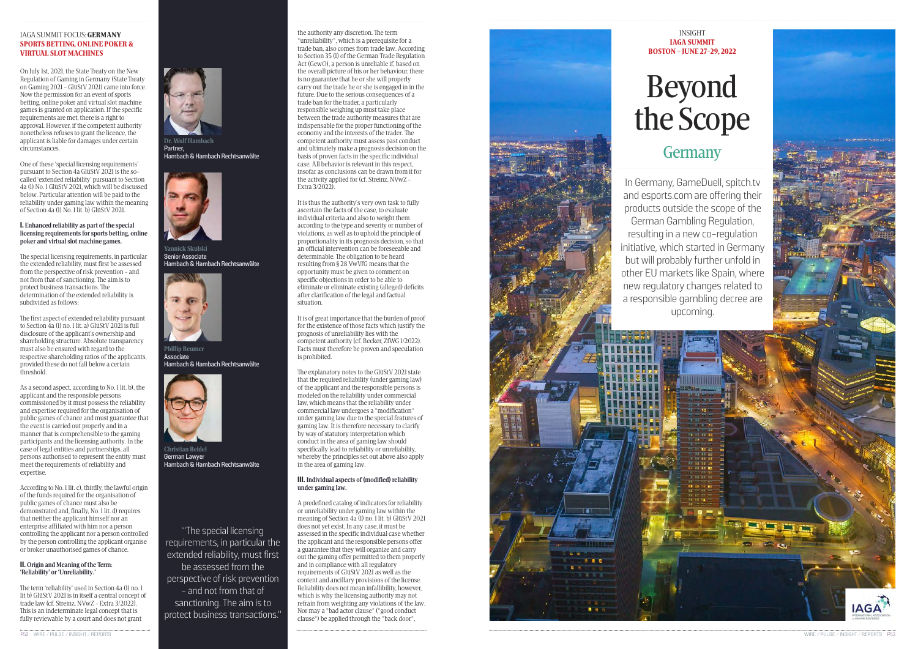One of these 'special licensing requirements' pursuant to Section 4a GlüStV 2021 is the socalled 'extended reliability' pursuant to Section 4a (1) No. 1 GlüStV 2021, which will be discussed below. Particular attention will be paid to the reliability under gaming law within the meaning of Section 4a  $(1)$  No. 1 lit. b) GlüStV 2021.

On July 1st, 2021, the State Treaty on the New Regulation of Gaming in Germany (State Treaty on Gaming 2021 - GlüStV 2021) came into force. Now the permission for an event of sports betting, online poker and virtual slot machine games is granted on application. If the specific requirements are met, there is a right to approval. However, if the competent authority nonetheless refuses to grant the licence, the applicant is liable for damages under certain circumstances.

### I. **Enhanced reliability as part of the special licensing requirements for sports betting, online poker and virtual slot machine games.**

The special licensing requirements, in particular the extended reliability, must first be assessed from the perspective of risk prevention - and not from that of sanctioning. The aim is to protect business transactions. The determination of the extended reliability is subdivided as follows:

The first aspect of extended reliability pursuant to Section 4a (1) no. 1 lit. a) GlüStV 2021 is full disclosure of the applicant's ownership and shareholding structure. Absolute transparency must also be ensured with regard to the respective shareholding ratios of the applicants, provided these do not fall below a certain threshold.

As a second aspect, according to No. 1 lit. b), the applicant and the responsible persons commissioned by it must possess the reliability and expertise required for the organisation of public games of chance and must guarantee that the event is carried out properly and in a manner that is comprehensible to the gaming participants and the licensing authority. In the case of legal entities and partnerships, all persons authorised to represent the entity must meet the requirements of reliability and expertise.

According to No. 1 lit. c), thirdly, the lawful origin of the funds required for the organisation of public games of chance must also be demonstrated and, finally, No. 1 lit. d) requires that neither the applicant himself nor an enterprise affiliated with him nor a person controlling the applicant nor a person controlled by the person controlling the applicant organise or broker unauthorised games of chance.

### II. **Origin and Meaning of the Term: 'Reliability' or 'Unreliability.'**

The term 'reliability' used in Section 4a (1) no. 1 lit b) GlüStV 2021 is in itself a central concept of trade law (cf. Streinz, NVwZ - Extra 3/2022). This is an indeterminate legal concept that is fully reviewable by a court and does not grant

 $Dr$  Wulf Hamb **Partner,** 

Phillin Reumer **Associate Hambach & Hambach Rechtsanwälte**



Christian Reidel **German Lawyer Hambach & Hambach Rechtsanwälte** 

the authority any discretion. The term "unreliability", which is a prerequisite for a trade ban, also comes from trade law. According to Section 35 (1) of the German Trade Regulation Act (GewO), a person is unreliable if, based on the overall picture of his or her behaviour, there is no guarantee that he or she will properly carry out the trade he or she is engaged in in the future. Due to the serious consequences of a trade ban for the trader, a particularly responsible weighing up must take place between the trade authority measures that are indispensable for the proper functioning of the economy and the interests of the trader. The competent authority must assess past conduct and ultimately make a prognosis decision on the basis of proven facts in the specific individual case. All behavior is relevant in this respect, insofar as conclusions can be drawn from it for the activity applied for (cf. Streinz, NVwZ - Extra 3/2022).

It is thus the authority's very own task to fully ascertain the facts of the case, to evaluate individual criteria and also to weight them according to the type and severity or number of violations, as well as to uphold the principle of proportionality in its prognosis decision, so that an official intervention can be foreseeable and determinable. The obligation to be heard resulting from § 28 VwVfG means that the opportunity must be given to comment on specific objections in order to be able to eliminate or eliminate existing (alleged) deficits after clarification of the legal and factual situation.

It is of great importance that the burden of proof for the existence of those facts which justify the prognosis of unreliability lies with the competent authority (cf. Becker, ZfWG 1/2022). Facts must therefore be proven and speculation is prohibited.

The explanatory notes to the GlüStV 2021 state that the required reliability (under gaming law) of the applicant and the responsible persons is modeled on the reliability under commercial law, which means that the reliability under commercial law undergoes a "modification" under gaming law due to the special features of gaming law. It is therefore necessary to clarify by way of statutory interpretation which conduct in the area of gaming law should specifically lead to reliability or unreliability, whereby the principles set out above also apply in the area of gaming law.

### III. **Individual aspects of (modified) reliability under gaming law.**

A pr edefined catalog of indicators for reliability or unreliability under gaming law within the meaning of Section 4a (1) no. 1 lit. b) GlüStV 2021 does not yet exist. In any case, it must be assessed in the specific individual case whether the applicant and the responsible persons offer a guarantee that they will organize and carry out the gaming offer permitted to them properly and in compliance with all regulatory requirements of GlüStV 2021 as well as the content and ancillary provisions of the license. Reliability does not mean infallibility, however, which is why the licensing authority may not refrain from weighting any violations of the law. Nor may a "bad actor clause" ("good conduct clause") be applied through the "back door",



**Hambach & Hambach Rechtsanwälte**





Yannick Skulski **Senior Associate Hambach & Hambach Rechtsanwälte** 

### IAGA SUMMIT FOCUS: GERMANY SPORTS BETTING, ONLINE POKER & VIRTUAL SLOT MACHINES

# Beyond the Scope

### **Germany**

INSIGHT IAGA SUMMIT

## BOSTON - JUNE 27-29, 2022





In Germany, GameDuell, spitch.tv and esports.com are offering their products outside the scope of the German Gambling Regulation, resulting in a new co-regulation initiative, which started in Germany but will probably further unfold in other EU markets like Spain, where new regulatory changes related to a responsible gambling decree are upcoming.

"The special licensing requirements, in particular the extended reliability, must first be assessed from the perspective of risk prevention - and not from that of sanctioning. The aim is to protect business transactions."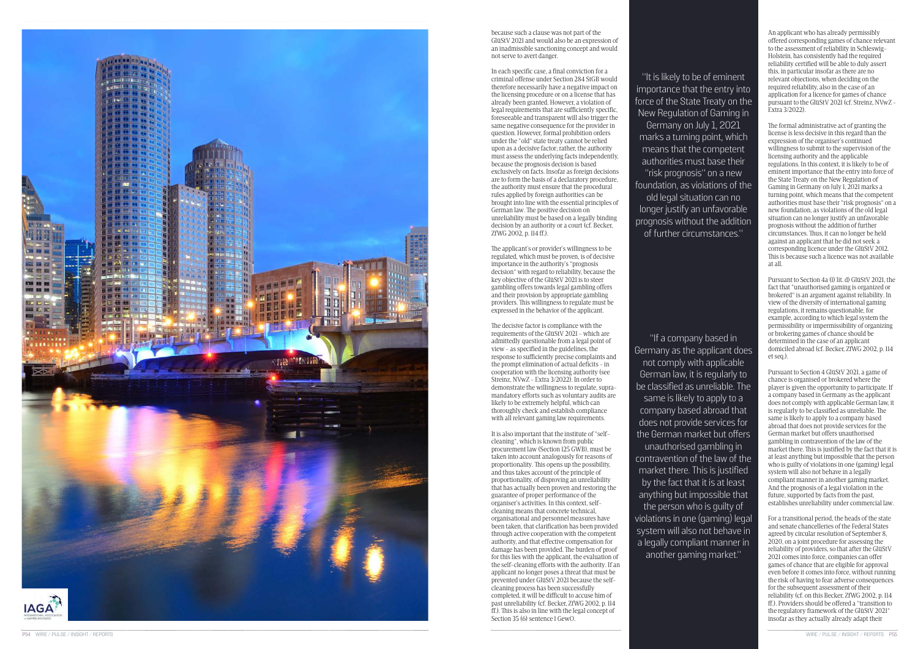

because such a clause was not part of the GlüStV 2021 and would also be an expression of an inadmissible sanctioning concept and would not serve to avert danger.

In each specific case, a final conviction for a criminal offense under Section 284 StGB would therefore necessarily have a negative impact on the licensing procedure or on a license that has already been granted. However, a violation of legal requirements that are sufficiently specific, foreseeable and transparent will also trigger the same negative consequence for the provider in question. However, formal prohibition orders under the "old" state treaty cannot be relied upon as a decisive factor; rather, the authority must assess the underlying facts independently, because the prognosis decision is based exclusively on facts. Insofar as foreign decisions are to form the basis of a declaratory procedure, the authority must ensure that the procedural rules applied by foreign authorities can be brought into line with the essential principles of German law. The positive decision on unreliability must be based on a legally binding decision by an authority or a court (cf. Becker, ZfWG 2002, p. 114 ff.).

The decisive factor is compliance with the requirements of the GlüStV 2021 - which are admittedly questionable from a legal point of view - as specified in the guidelines, the response to sufficiently precise complaints and the prompt elimination of actual deficits - in cooperation with the licensing authority (see Streinz, NVwZ - Extra 3/2022). In order to demonstrate the willingness to regulate, supramandatory efforts such as voluntary audits are likely to be extremely helpful, which can thoroughly check and establish compliance with all relevant gaming law requirements.

The applicant's or provider's willingness to be regulated, which must be proven, is of decisive importance in the authority's "prognosis decision" with regard to reliability, because the key objective of the GlüStV 2021 is to steer gambling offers towards legal gambling offers and their provision by appropriate gambling providers. This willingness to regulate must be expressed in the behavior of the applicant.

It is also important that the institute of "selfcleaning", which is known from public procurement law (Section 125 GWB), must be taken into account analogously for reasons of proportionality. This opens up the possibility, and thus takes account of the principle of proportionality, of disproving an unreliability that has actually been proven and restoring the guarantee of proper performance of the organiser's activities. In this context, selfcleaning means that concrete technical, organisational and personnel measures have been taken, that clarification has been provided through active cooperation with the competent authority, and that effective compensation for damage has been provided. The burden of proof for this lies with the applicant, the evaluation of the self-cleaning efforts with the authority. If an applicant no longer poses a threat that must be prevented under GlüStV 2021 because the selfcleaning process has been successfully completed, it will be difficult to accuse him of past unreliability (cf. Becker, ZfWG 2002, p. 114 ff.). This is also in line with the legal concept of

Section 35 (6) sentence 1 GewO.

An applicant who has already permissibly offered corresponding games of chance relevant to the assessment of reliability in Schleswig-Holstein, has consistently had the required reliability certified will be able to duly assert this, in particular insofar as there are no relevant objections, when deciding on the required reliability, also in the case of an application for a licence for games of chance pursuant to the GlüStV 2021 (cf. Streinz, NVwZ - Extra 3/2022).

The formal administrative act of granting the license is less decisive in this regard than the expression of the organiser's continued willingness to submit to the supervision of the licensing authority and the applicable regulations. In this context, it is likely to be of eminent importance that the entry into force of the State Treaty on the New Regulation of Gaming in Germany on July 1, 2021 marks a turning point, which means that the competent authorities must base their "risk prognosis" on a new foundation, as violations of the old legal situation can no longer justify an unfavorable prognosis without the addition of further circumstances. Thus, it can no longer be held against an applicant that he did not seek a corresponding licence under the GlüStV 2012. This is because such a licence was not available at all.

Pursuant to Section 4a (1) lit. d) GlüStV 2021, the fact that "unauthorised gaming is organized or brokered" is an argument against reliability. In view of the diversity of international gaming regulations, it remains questionable, for example, according to which legal system the permissibility or impermissibility of organizing or brokering games of chance should be determined in the case of an applicant domiciled abroad (cf. Becker, ZfWG 2002, p. 114 et seq.).

Pursuant to Section 4 GlüStV 2021, a game of chance is organised or brokered where the player is given the opportunity to participate. If a company based in Germany as the applicant does not comply with applicable German law, it is regularly to be classified as unreliable. The same is likely to apply to a company based abroad that does not provide services for the German market but offers unauthorised gambling in contravention of the law of the market there. This is justified by the fact that it is at least anything but impossible that the person who is guilty of violations in one (gaming) legal system will also not behave in a legally compliant manner in another gaming market. And the prognosis of a legal violation in the future, supported by facts from the past, establishes unreliability under commercial law.

For a transitional period, the heads of the state and senate chancelleries of the Federal States agreed by circular resolution of September 8, 2020, on a joint procedure for assessing the reliability of providers, so that after the GlüStV 2021 comes into force, companies can offer games of chance that are eligible for approval even before it comes into force, without running the risk of having to fear adverse consequences for the subsequent assessment of their reliability (cf. on this Becker, ZfWG 2002, p. 114 ff.). Providers should be offered a "transition to the regulatory framework of the GlüStV 2021" insofar as they actually already adapt their

"If a company based in Germany as the applicant does not comply with applicable German law, it is regularly to be classified as unreliable. The same is likely to apply to a company based abroad that does not provide services for the German market but offers unauthorised gambling in contravention of the law of the market there. This is justified by the fact that it is at least anything but impossible that the person who is guilty of violations in one (gaming) legal system will also not behave in a legally compliant manner in another gaming market."

"It is likely to be of eminent importance that the entry into force of the State Treaty on the New Regulation of Gaming in Germany on July 1, 2021 marks a turning point, which means that the competent authorities must base their "risk prognosis" on a new foundation, as violations of the old legal situation can no longer justify an unfavorable prognosis without the addition of further circumstances."